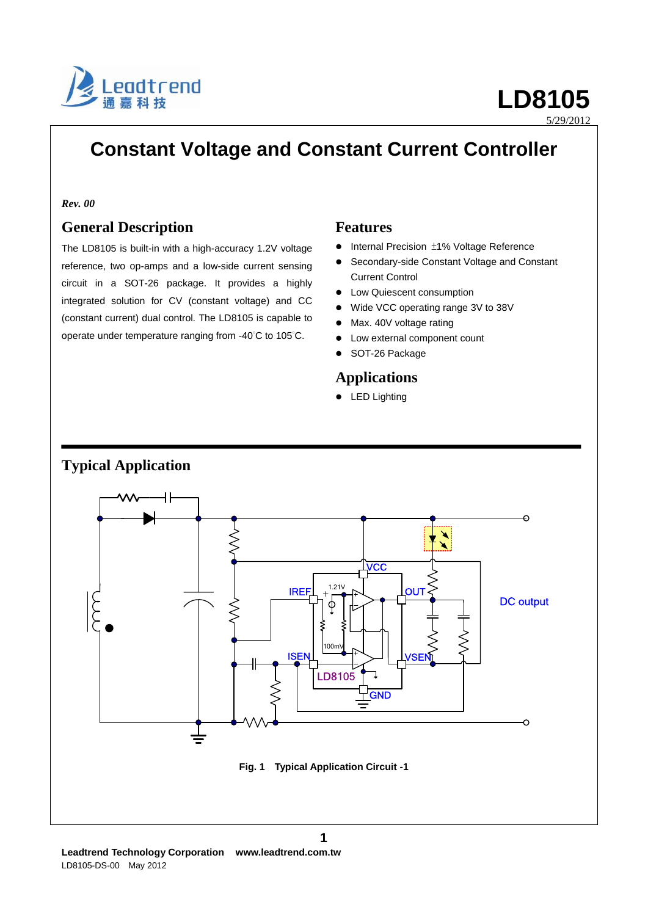

5/29/2012

# **Constant Voltage and Constant Current Controller**

#### *Rev. 00*

#### **General Description**

The LD8105 is built-in with a high-accuracy 1.2V voltage reference, two op-amps and a low-side current sensing circuit in a SOT-26 package. It provides a highly integrated solution for CV (constant voltage) and CC (constant current) dual control. The LD8105 is capable to operate under temperature ranging from -40°C to 105°C.

#### **Features**

- Internal Precision ±1% Voltage Reference
- Secondary-side Constant Voltage and Constant Current Control
- Low Quiescent consumption
- Wide VCC operating range 3V to 38V
- Max. 40V voltage rating
- Low external component count
- SOT-26 Package

#### **Applications**

**•** LED Lighting



#### **Leadtrend Technology Corporation www.leadtrend.com.tw** LD8105-DS-00 May 2012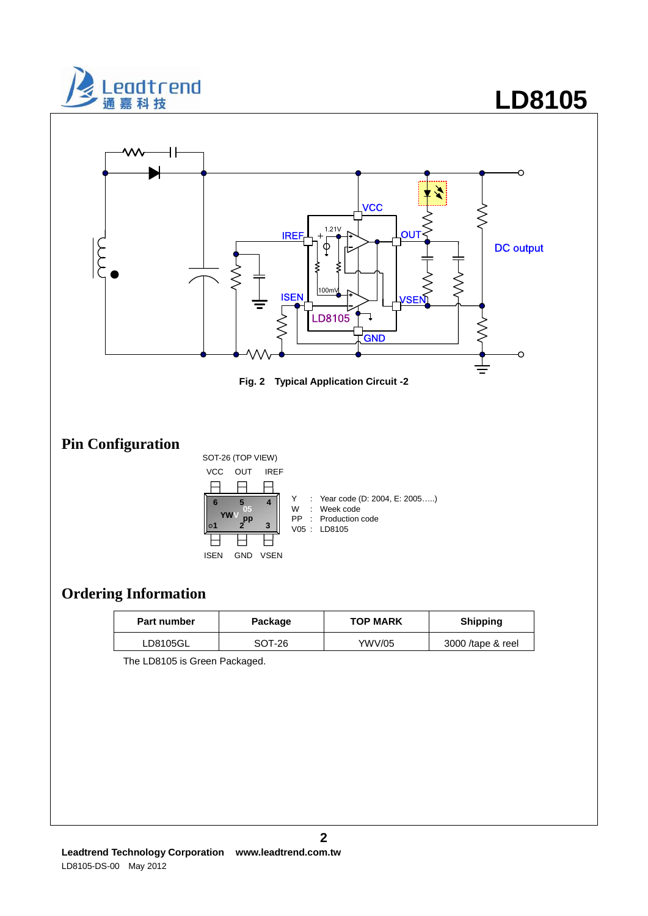

# **LD8105**





### **Ordering Information**

| <b>Part number</b> | Package | <b>TOP MARK</b> | <b>Shipping</b>   |
|--------------------|---------|-----------------|-------------------|
| LD8105GL           | SOT-26  | YWV/05          | 3000 /tape & reel |

The LD8105 is Green Packaged.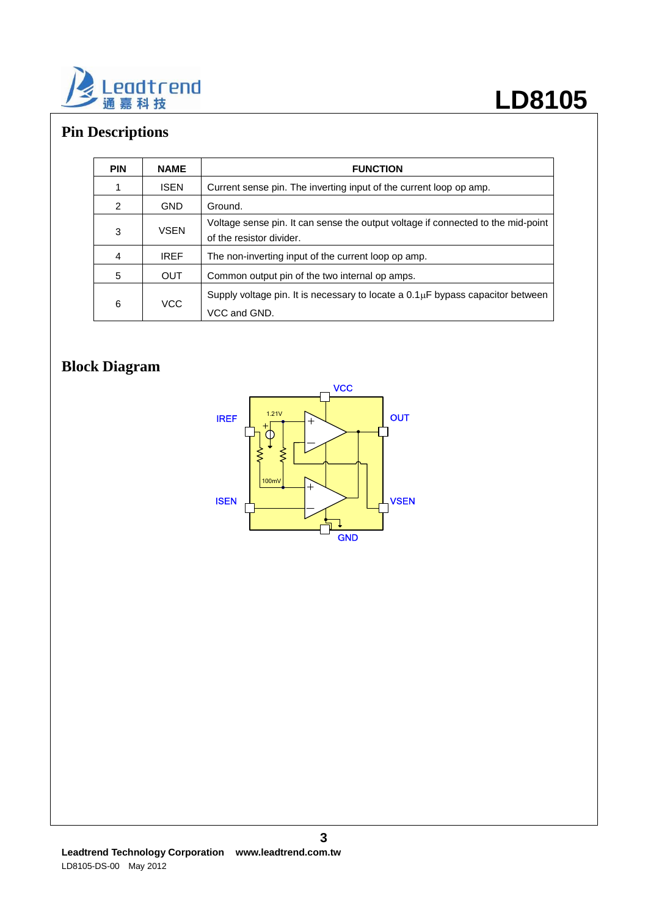

# **Pin Descriptions**

| <b>PIN</b> | <b>NAME</b> | <b>FUNCTION</b>                                                                                              |
|------------|-------------|--------------------------------------------------------------------------------------------------------------|
|            | <b>ISEN</b> | Current sense pin. The inverting input of the current loop op amp.                                           |
| 2          | <b>GND</b>  | Ground.                                                                                                      |
| 3          | <b>VSEN</b> | Voltage sense pin. It can sense the output voltage if connected to the mid-point<br>of the resistor divider. |
| 4          | <b>IREF</b> | The non-inverting input of the current loop op amp.                                                          |
| 5          | <b>OUT</b>  | Common output pin of the two internal op amps.                                                               |
| 6          | <b>VCC</b>  | Supply voltage pin. It is necessary to locate a $0.1\mu$ F bypass capacitor between<br>VCC and GND.          |

# **Block Diagram**

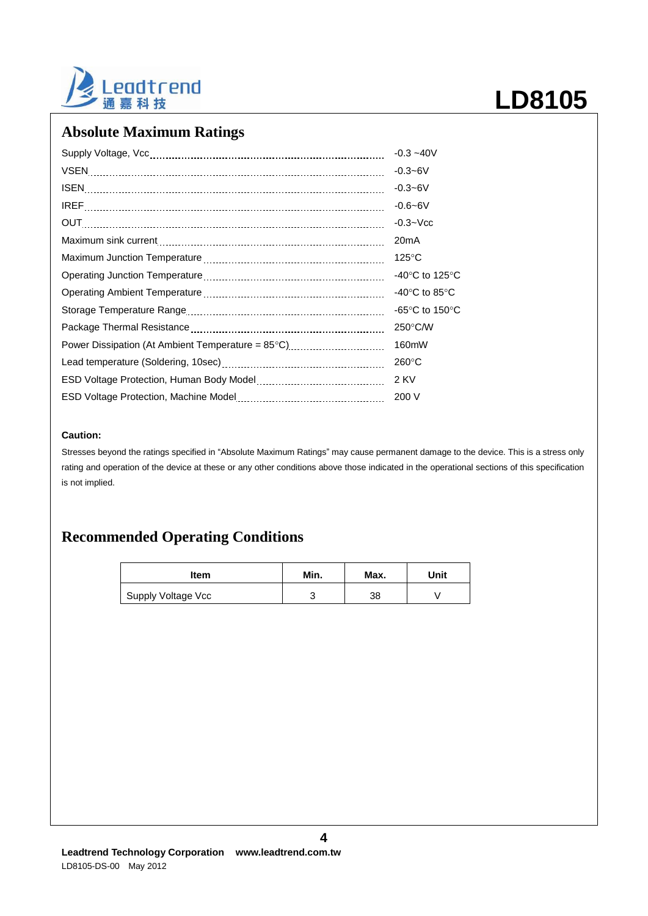

### **Absolute Maximum Ratings**

|                                                   | $-0.3 - 40V$                               |
|---------------------------------------------------|--------------------------------------------|
|                                                   | $-0.3 - 6V$                                |
|                                                   | $-0.3 - 6V$                                |
|                                                   | $-0.6 - 6V$                                |
|                                                   | $-0.3 - Vcc$                               |
|                                                   | 20 <sub>m</sub> A                          |
|                                                   | $125^{\circ}$ C                            |
|                                                   | -40 $\rm ^{\circ}C$ to 125 $\rm ^{\circ}C$ |
|                                                   | -40 $\degree$ C to 85 $\degree$ C          |
|                                                   | -65°C to 150°C                             |
|                                                   | 250°C/W                                    |
| Power Dissipation (At Ambient Temperature = 85°C) | 160mW                                      |
|                                                   | $260^{\circ}$ C                            |
|                                                   | 2 KV                                       |
|                                                   | 200 V                                      |
|                                                   |                                            |

#### **Caution:**

Stresses beyond the ratings specified in "Absolute Maximum Ratings" may cause permanent damage to the device. This is a stress only rating and operation of the device at these or any other conditions above those indicated in the operational sections of this specification is not implied.

#### **Recommended Operating Conditions**

| ltem               | Min. | Max. | Unit |
|--------------------|------|------|------|
| Supply Voltage Vcc |      | 38   |      |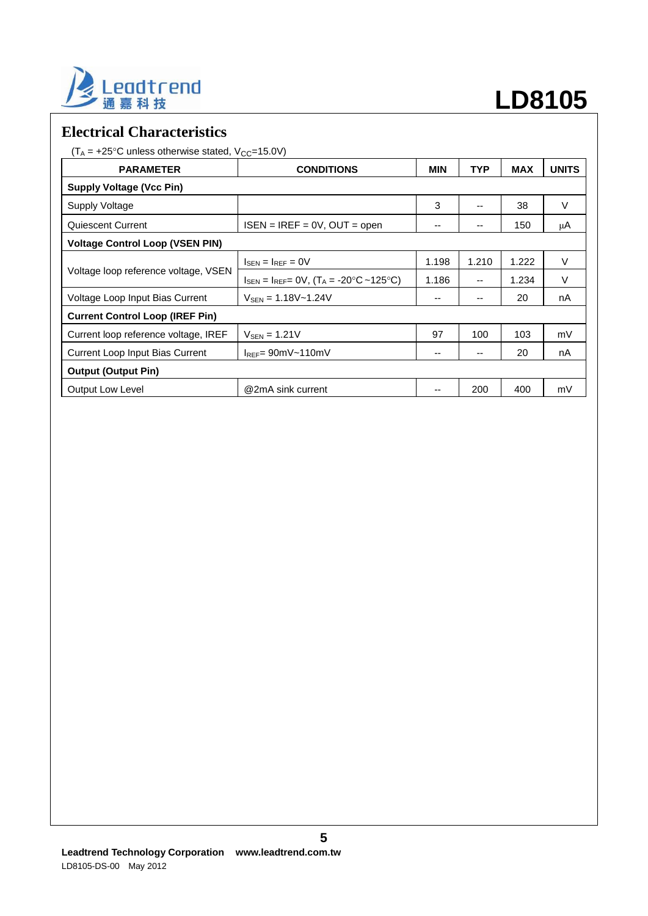

# **LD8105**

#### **Electrical Characteristics**

 $(T_A = +25^{\circ}C$  unless otherwise stated,  $V_{CC} = 15.0V$ )

| <b>PARAMETER</b>                       | <b>CONDITIONS</b>                                                                                      | <b>MIN</b> | <b>TYP</b>               | <b>MAX</b> | <b>UNITS</b> |  |
|----------------------------------------|--------------------------------------------------------------------------------------------------------|------------|--------------------------|------------|--------------|--|
| <b>Supply Voltage (Vcc Pin)</b>        |                                                                                                        |            |                          |            |              |  |
| Supply Voltage                         |                                                                                                        | 3          | --                       | 38         | V            |  |
| <b>Quiescent Current</b>               | $ISEN = IREF = 0V$ , OUT = open                                                                        | --         | --                       | 150        | μA           |  |
| <b>Voltage Control Loop (VSEN PIN)</b> |                                                                                                        |            |                          |            |              |  |
| Voltage loop reference voltage, VSEN   | $I_{\text{SEN}} = I_{\text{REF}} = 0V$                                                                 | 1.198      | 1.210                    | 1.222      | V            |  |
|                                        | $I_{\text{SEN}} = I_{\text{REF}} = 0 \text{V}, (T_A = -20^{\circ} \text{C} \sim 125^{\circ} \text{C})$ | 1.186      | $\overline{\phantom{a}}$ | 1.234      | V            |  |
| Voltage Loop Input Bias Current        | $V_{SEN} = 1.18V - 1.24V$                                                                              | --         | --                       | 20         | nA           |  |
| <b>Current Control Loop (IREF Pin)</b> |                                                                                                        |            |                          |            |              |  |
| Current loop reference voltage, IREF   | $V_{\text{SEN}} = 1.21V$                                                                               | 97         | 100                      | 103        | mV           |  |
| Current Loop Input Bias Current        | $I_{REF} = 90mV \sim 110mV$                                                                            | --         | --                       | 20         | nA           |  |
| <b>Output (Output Pin)</b>             |                                                                                                        |            |                          |            |              |  |
| <b>Output Low Level</b>                | @2mA sink current                                                                                      | --         | 200                      | 400        | mV           |  |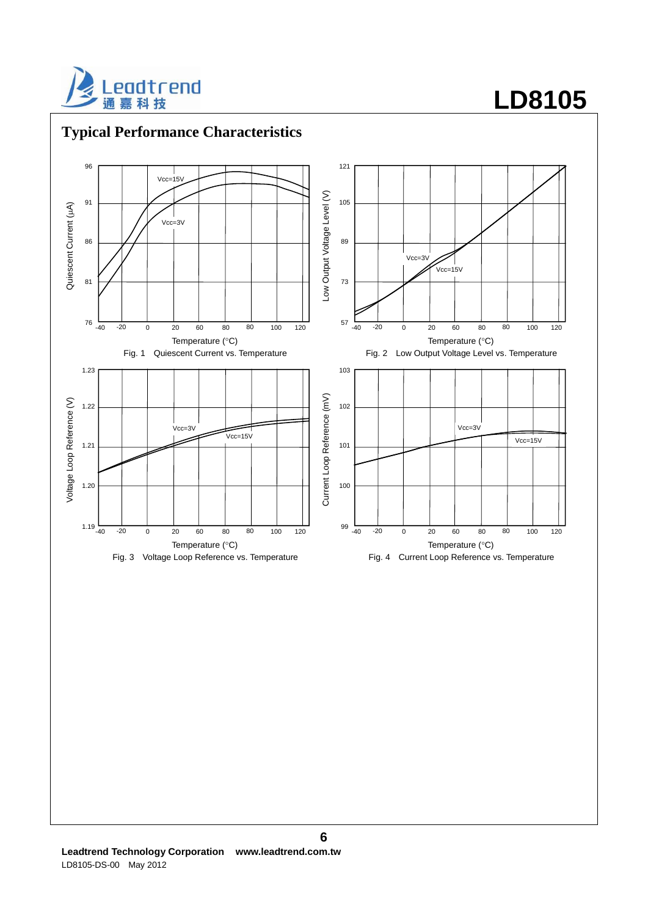



### **Typical Performance Characteristics**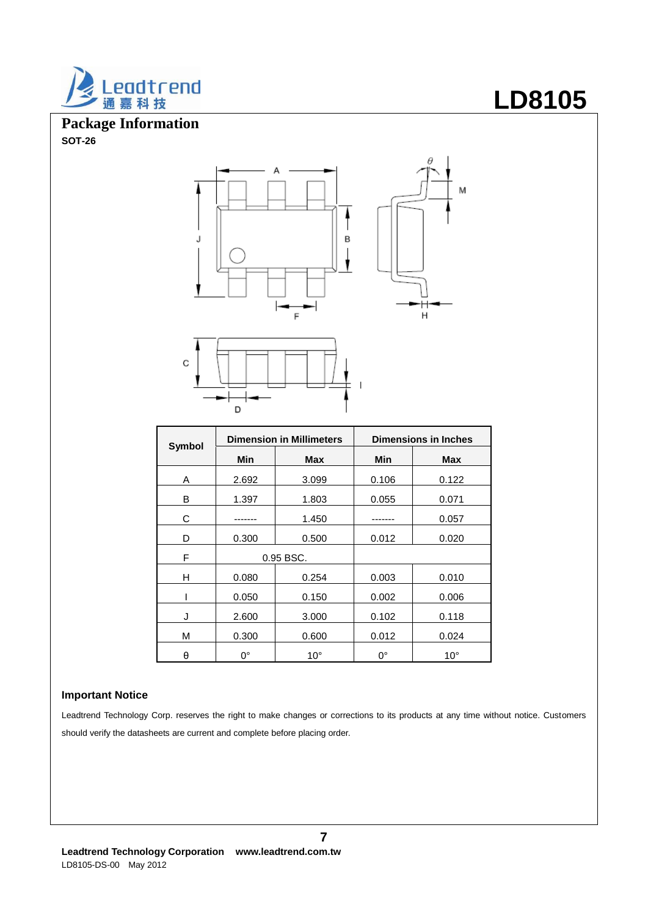

**Package Information SOT-26**





|        | <b>Dimension in Millimeters</b> |              | <b>Dimensions in Inches</b> |              |  |
|--------|---------------------------------|--------------|-----------------------------|--------------|--|
| Symbol | Min                             | Max          | Min                         | Max          |  |
| A      | 2.692                           | 3.099        | 0.106                       | 0.122        |  |
| В      | 1.397                           | 1.803        | 0.055                       | 0.071        |  |
| С      |                                 | 1.450        |                             | 0.057        |  |
| D      | 0.300                           | 0.500        | 0.012                       | 0.020        |  |
| F      |                                 | 0.95 BSC.    |                             |              |  |
| н      | 0.080                           | 0.254        | 0.003                       | 0.010        |  |
|        | 0.050                           | 0.150        | 0.002                       | 0.006        |  |
| J      | 2.600                           | 3.000        | 0.102                       | 0.118        |  |
| M      | 0.300                           | 0.600        | 0.012                       | 0.024        |  |
| θ      | $0^{\circ}$                     | $10^{\circ}$ | $0^{\circ}$                 | $10^{\circ}$ |  |

#### **Important Notice**

Leadtrend Technology Corp. reserves the right to make changes or corrections to its products at any time without notice. Customers should verify the datasheets are current and complete before placing order.

# **LD8105**